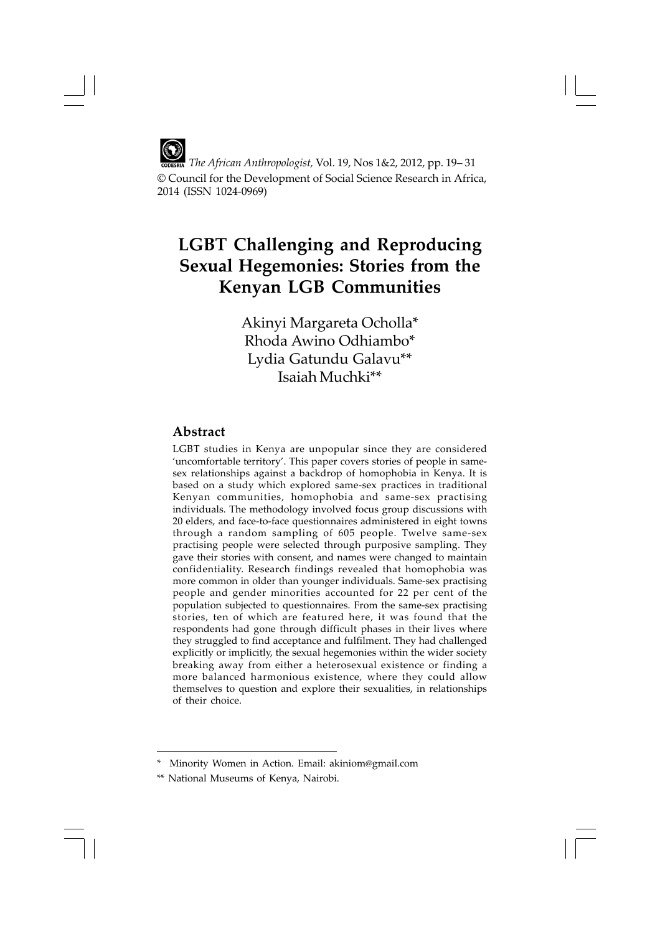*The African Anthropologist,* Vol. 19, Nos 1&2, 2012, pp. 19– 31 © Council for the Development of Social Science Research in Africa, 2014 (ISSN 1024-0969)

# **LGBT Challenging and Reproducing Sexual Hegemonies: Stories from the Kenyan LGB Communities**

Akinyi Margareta Ocholla\* Rhoda Awino Odhiambo\* Lydia Gatundu Galavu\*\* Isaiah Muchki\*\*

# **Abstract**

LGBT studies in Kenya are unpopular since they are considered 'uncomfortable territory'. This paper covers stories of people in samesex relationships against a backdrop of homophobia in Kenya. It is based on a study which explored same-sex practices in traditional Kenyan communities, homophobia and same-sex practising individuals. The methodology involved focus group discussions with 20 elders, and face-to-face questionnaires administered in eight towns through a random sampling of 605 people. Twelve same-sex practising people were selected through purposive sampling. They gave their stories with consent, and names were changed to maintain confidentiality. Research findings revealed that homophobia was more common in older than younger individuals. Same-sex practising people and gender minorities accounted for 22 per cent of the population subjected to questionnaires. From the same-sex practising stories, ten of which are featured here, it was found that the respondents had gone through difficult phases in their lives where they struggled to find acceptance and fulfilment. They had challenged explicitly or implicitly, the sexual hegemonies within the wider society breaking away from either a heterosexual existence or finding a more balanced harmonious existence, where they could allow themselves to question and explore their sexualities, in relationships of their choice.

\*\* National Museums of Kenya, Nairobi.

Minority Women in Action. Email: akiniom@gmail.com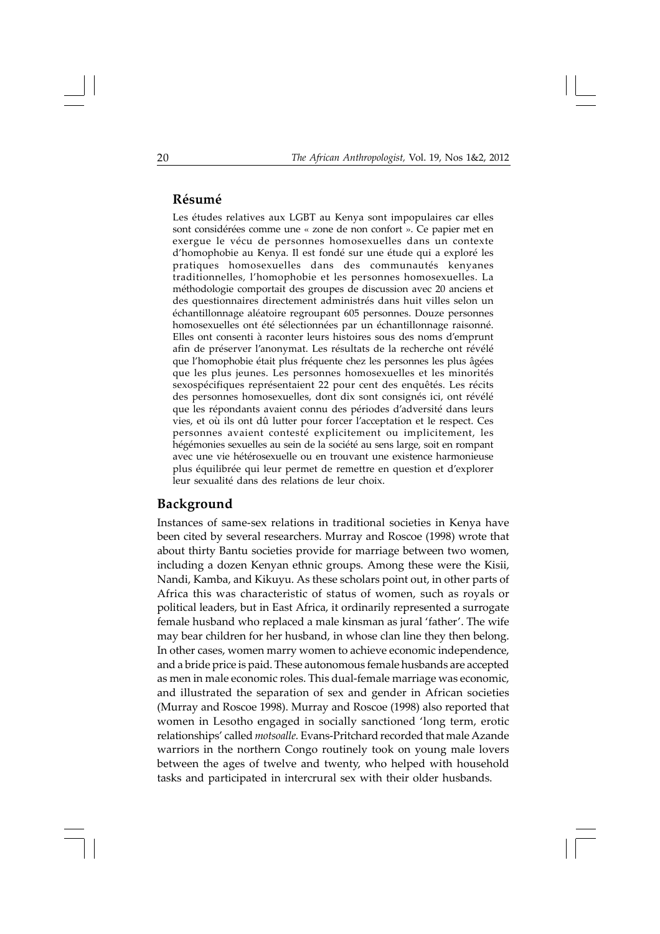### **Résumé**

Les études relatives aux LGBT au Kenya sont impopulaires car elles sont considérées comme une « zone de non confort ». Ce papier met en exergue le vécu de personnes homosexuelles dans un contexte d'homophobie au Kenya. Il est fondé sur une étude qui a exploré les pratiques homosexuelles dans des communautés kenyanes traditionnelles, l'homophobie et les personnes homosexuelles. La méthodologie comportait des groupes de discussion avec 20 anciens et des questionnaires directement administrés dans huit villes selon un échantillonnage aléatoire regroupant 605 personnes. Douze personnes homosexuelles ont été sélectionnées par un échantillonnage raisonné. Elles ont consenti à raconter leurs histoires sous des noms d'emprunt afin de préserver l'anonymat. Les résultats de la recherche ont révélé que l'homophobie était plus fréquente chez les personnes les plus âgées que les plus jeunes. Les personnes homosexuelles et les minorités sexospécifiques représentaient 22 pour cent des enquêtés. Les récits des personnes homosexuelles, dont dix sont consignés ici, ont révélé que les répondants avaient connu des périodes d'adversité dans leurs vies, et où ils ont dû lutter pour forcer l'acceptation et le respect. Ces personnes avaient contesté explicitement ou implicitement, les hégémonies sexuelles au sein de la société au sens large, soit en rompant avec une vie hétérosexuelle ou en trouvant une existence harmonieuse plus équilibrée qui leur permet de remettre en question et d'explorer leur sexualité dans des relations de leur choix.

### **Background**

Instances of same-sex relations in traditional societies in Kenya have been cited by several researchers. Murray and Roscoe (1998) wrote that about thirty Bantu societies provide for marriage between two women, including a dozen Kenyan ethnic groups. Among these were the Kisii, Nandi, Kamba, and Kikuyu. As these scholars point out, in other parts of Africa this was characteristic of status of women, such as royals or political leaders, but in East Africa, it ordinarily represented a surrogate female husband who replaced a male kinsman as jural 'father'. The wife may bear children for her husband, in whose clan line they then belong. In other cases, women marry women to achieve economic independence, and a bride price is paid. These autonomous female husbands are accepted as men in male economic roles. This dual-female marriage was economic, and illustrated the separation of sex and gender in African societies (Murray and Roscoe 1998). Murray and Roscoe (1998) also reported that women in Lesotho engaged in socially sanctioned 'long term, erotic relationships' called *motsoalle.* Evans-Pritchard recorded that male Azande warriors in the northern Congo routinely took on young male lovers between the ages of twelve and twenty, who helped with household tasks and participated in intercrural sex with their older husbands.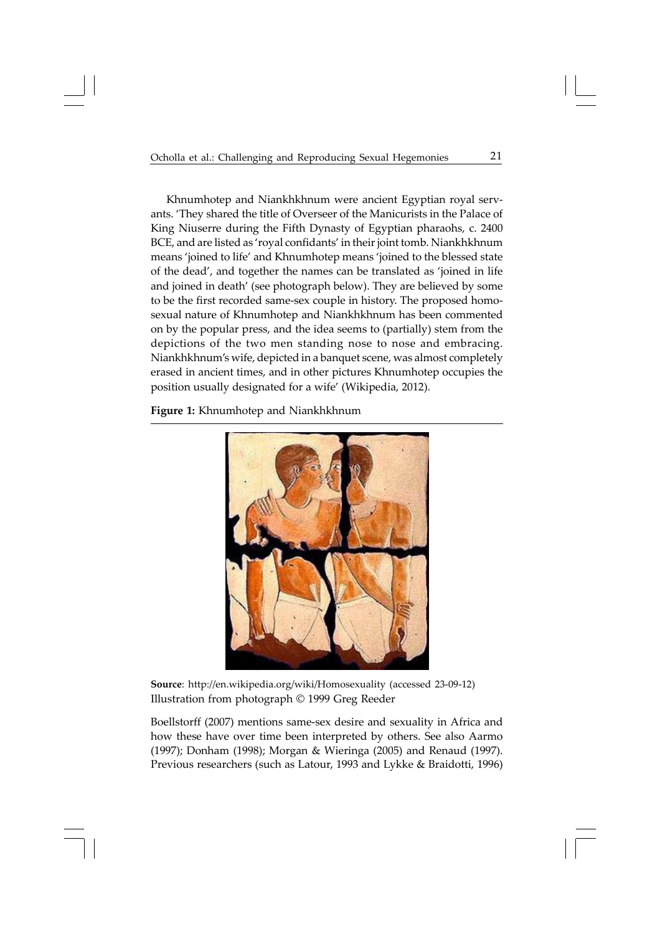Khnumhotep and Niankhkhnum were ancient Egyptian royal servants. 'They shared the title of Overseer of the Manicurists in the Palace of King Niuserre during the Fifth Dynasty of Egyptian pharaohs, c. 2400 BCE, and are listed as 'royal confidants' in their joint tomb. Niankhkhnum means 'joined to life' and Khnumhotep means 'joined to the blessed state of the dead', and together the names can be translated as 'joined in life and joined in death' (see photograph below). They are believed by some to be the first recorded same-sex couple in history. The proposed homosexual nature of Khnumhotep and Niankhkhnum has been commented on by the popular press, and the idea seems to (partially) stem from the depictions of the two men standing nose to nose and embracing. Niankhkhnum's wife, depicted in a banquet scene, was almost completely erased in ancient times, and in other pictures Khnumhotep occupies the position usually designated for a wife' (Wikipedia, 2012).

**Figure 1:** Khnumhotep and Niankhkhnum



**Source**: http://en.wikipedia.org/wiki/Homosexuality (accessed 23-09-12) Illustration from photograph © 1999 Greg Reeder

Boellstorff (2007) mentions same-sex desire and sexuality in Africa and how these have over time been interpreted by others. See also Aarmo (1997); Donham (1998); Morgan & Wieringa (2005) and Renaud (1997). Previous researchers (such as Latour, 1993 and Lykke & Braidotti, 1996)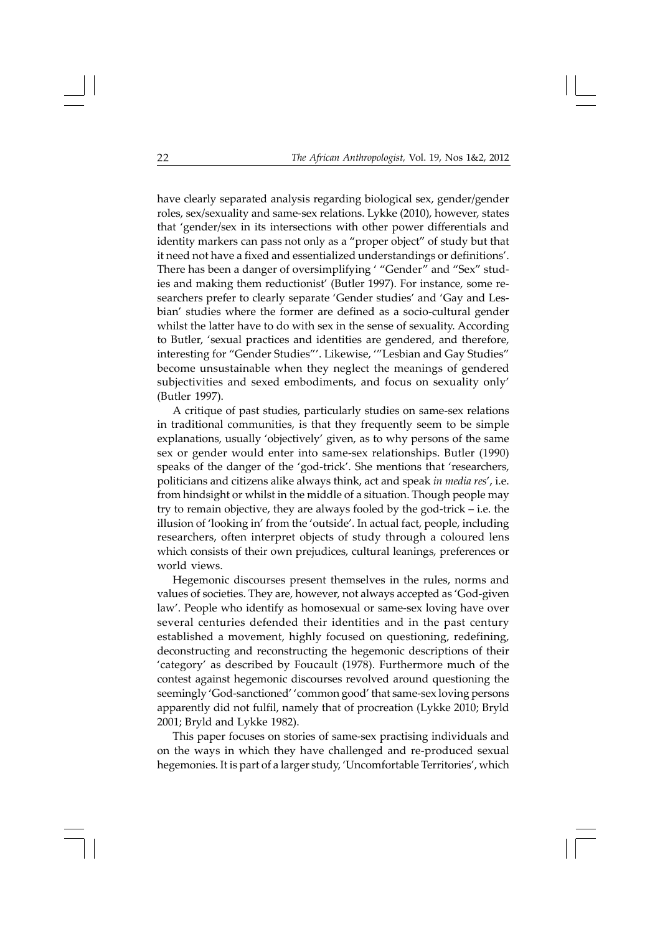have clearly separated analysis regarding biological sex, gender/gender roles, sex/sexuality and same-sex relations. Lykke (2010), however, states that 'gender/sex in its intersections with other power differentials and identity markers can pass not only as a "proper object" of study but that it need not have a fixed and essentialized understandings or definitions'. There has been a danger of oversimplifying ' "Gender" and "Sex" studies and making them reductionist' (Butler 1997). For instance, some researchers prefer to clearly separate 'Gender studies' and 'Gay and Lesbian' studies where the former are defined as a socio-cultural gender whilst the latter have to do with sex in the sense of sexuality. According to Butler, 'sexual practices and identities are gendered, and therefore, interesting for "Gender Studies"'. Likewise, '"Lesbian and Gay Studies" become unsustainable when they neglect the meanings of gendered subjectivities and sexed embodiments, and focus on sexuality only' (Butler 1997).

A critique of past studies, particularly studies on same-sex relations in traditional communities, is that they frequently seem to be simple explanations, usually 'objectively' given, as to why persons of the same sex or gender would enter into same-sex relationships. Butler (1990) speaks of the danger of the 'god-trick'. She mentions that 'researchers, politicians and citizens alike always think, act and speak *in media res*', i.e. from hindsight or whilst in the middle of a situation. Though people may try to remain objective, they are always fooled by the god-trick – i.e. the illusion of 'looking in' from the 'outside'. In actual fact, people, including researchers, often interpret objects of study through a coloured lens which consists of their own prejudices, cultural leanings, preferences or world views.

Hegemonic discourses present themselves in the rules, norms and values of societies. They are, however, not always accepted as 'God-given law'. People who identify as homosexual or same-sex loving have over several centuries defended their identities and in the past century established a movement, highly focused on questioning, redefining, deconstructing and reconstructing the hegemonic descriptions of their 'category' as described by Foucault (1978). Furthermore much of the contest against hegemonic discourses revolved around questioning the seemingly 'God-sanctioned' 'common good' that same-sex loving persons apparently did not fulfil, namely that of procreation (Lykke 2010; Bryld 2001; Bryld and Lykke 1982).

This paper focuses on stories of same-sex practising individuals and on the ways in which they have challenged and re-produced sexual hegemonies. It is part of a larger study, 'Uncomfortable Territories', which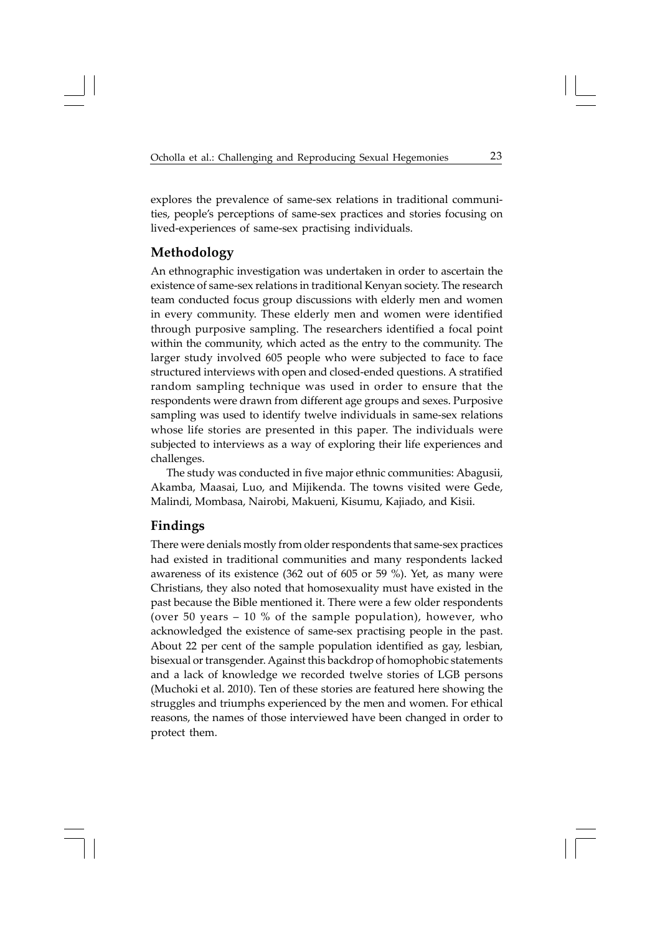explores the prevalence of same-sex relations in traditional communities, people's perceptions of same-sex practices and stories focusing on lived-experiences of same-sex practising individuals.

# **Methodology**

An ethnographic investigation was undertaken in order to ascertain the existence of same-sex relations in traditional Kenyan society. The research team conducted focus group discussions with elderly men and women in every community. These elderly men and women were identified through purposive sampling. The researchers identified a focal point within the community, which acted as the entry to the community. The larger study involved 605 people who were subjected to face to face structured interviews with open and closed-ended questions. A stratified random sampling technique was used in order to ensure that the respondents were drawn from different age groups and sexes. Purposive sampling was used to identify twelve individuals in same-sex relations whose life stories are presented in this paper. The individuals were subjected to interviews as a way of exploring their life experiences and challenges.

The study was conducted in five major ethnic communities: Abagusii, Akamba, Maasai, Luo, and Mijikenda. The towns visited were Gede, Malindi, Mombasa, Nairobi, Makueni, Kisumu, Kajiado, and Kisii.

# **Findings**

There were denials mostly from older respondents that same-sex practices had existed in traditional communities and many respondents lacked awareness of its existence (362 out of 605 or 59 %). Yet, as many were Christians, they also noted that homosexuality must have existed in the past because the Bible mentioned it. There were a few older respondents (over 50 years – 10 % of the sample population), however, who acknowledged the existence of same-sex practising people in the past. About 22 per cent of the sample population identified as gay, lesbian, bisexual or transgender. Against this backdrop of homophobic statements and a lack of knowledge we recorded twelve stories of LGB persons (Muchoki et al. 2010). Ten of these stories are featured here showing the struggles and triumphs experienced by the men and women. For ethical reasons, the names of those interviewed have been changed in order to protect them.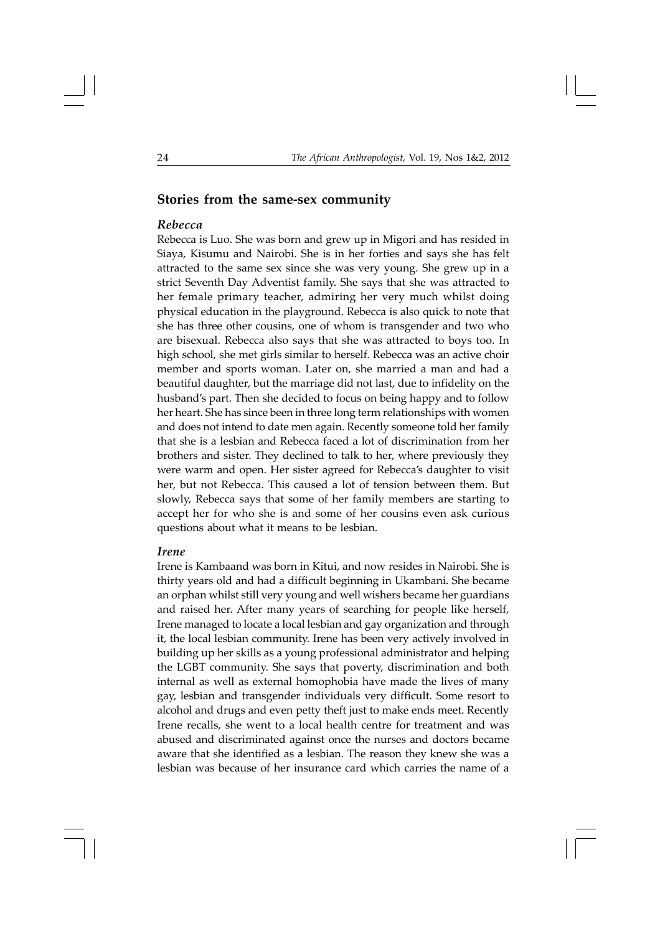# **Stories from the same-sex community**

#### *Rebecca*

Rebecca is Luo. She was born and grew up in Migori and has resided in Siaya, Kisumu and Nairobi. She is in her forties and says she has felt attracted to the same sex since she was very young. She grew up in a strict Seventh Day Adventist family. She says that she was attracted to her female primary teacher, admiring her very much whilst doing physical education in the playground. Rebecca is also quick to note that she has three other cousins, one of whom is transgender and two who are bisexual. Rebecca also says that she was attracted to boys too. In high school, she met girls similar to herself. Rebecca was an active choir member and sports woman. Later on, she married a man and had a beautiful daughter, but the marriage did not last, due to infidelity on the husband's part. Then she decided to focus on being happy and to follow her heart. She has since been in three long term relationships with women and does not intend to date men again. Recently someone told her family that she is a lesbian and Rebecca faced a lot of discrimination from her brothers and sister. They declined to talk to her, where previously they were warm and open. Her sister agreed for Rebecca's daughter to visit her, but not Rebecca. This caused a lot of tension between them. But slowly, Rebecca says that some of her family members are starting to accept her for who she is and some of her cousins even ask curious questions about what it means to be lesbian.

#### *Irene*

Irene is Kambaand was born in Kitui, and now resides in Nairobi. She is thirty years old and had a difficult beginning in Ukambani. She became an orphan whilst still very young and well wishers became her guardians and raised her. After many years of searching for people like herself, Irene managed to locate a local lesbian and gay organization and through it, the local lesbian community. Irene has been very actively involved in building up her skills as a young professional administrator and helping the LGBT community. She says that poverty, discrimination and both internal as well as external homophobia have made the lives of many gay, lesbian and transgender individuals very difficult. Some resort to alcohol and drugs and even petty theft just to make ends meet. Recently Irene recalls, she went to a local health centre for treatment and was abused and discriminated against once the nurses and doctors became aware that she identified as a lesbian. The reason they knew she was a lesbian was because of her insurance card which carries the name of a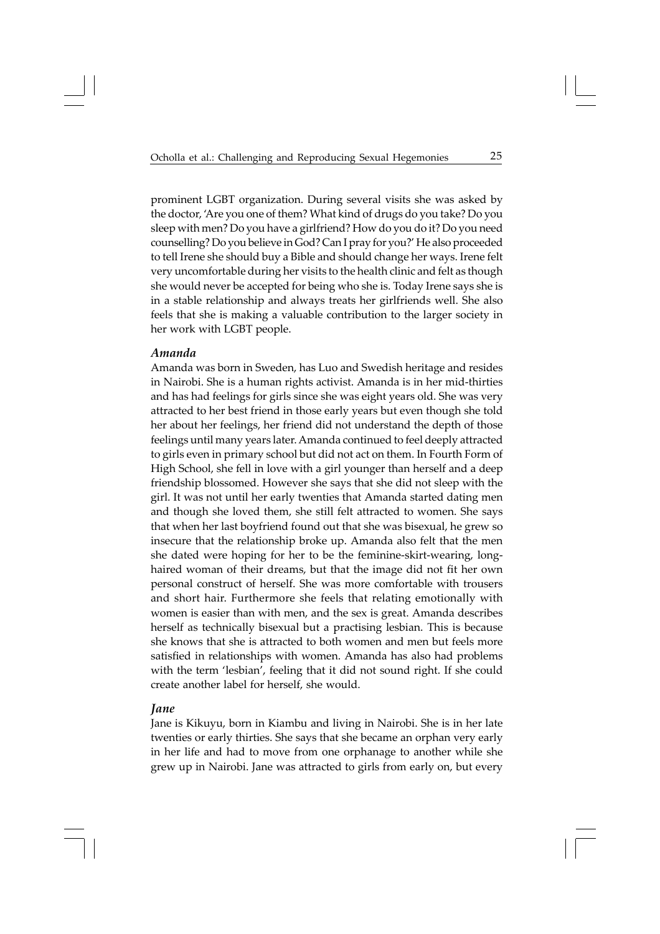prominent LGBT organization. During several visits she was asked by the doctor, 'Are you one of them? What kind of drugs do you take? Do you sleep with men? Do you have a girlfriend? How do you do it? Do you need counselling? Do you believe in God? Can I pray for you?' He also proceeded to tell Irene she should buy a Bible and should change her ways. Irene felt very uncomfortable during her visits to the health clinic and felt as though she would never be accepted for being who she is. Today Irene says she is in a stable relationship and always treats her girlfriends well. She also feels that she is making a valuable contribution to the larger society in her work with LGBT people.

#### *Amanda*

Amanda was born in Sweden, has Luo and Swedish heritage and resides in Nairobi. She is a human rights activist. Amanda is in her mid-thirties and has had feelings for girls since she was eight years old. She was very attracted to her best friend in those early years but even though she told her about her feelings, her friend did not understand the depth of those feelings until many years later. Amanda continued to feel deeply attracted to girls even in primary school but did not act on them. In Fourth Form of High School, she fell in love with a girl younger than herself and a deep friendship blossomed. However she says that she did not sleep with the girl. It was not until her early twenties that Amanda started dating men and though she loved them, she still felt attracted to women. She says that when her last boyfriend found out that she was bisexual, he grew so insecure that the relationship broke up. Amanda also felt that the men she dated were hoping for her to be the feminine-skirt-wearing, longhaired woman of their dreams, but that the image did not fit her own personal construct of herself. She was more comfortable with trousers and short hair. Furthermore she feels that relating emotionally with women is easier than with men, and the sex is great. Amanda describes herself as technically bisexual but a practising lesbian. This is because she knows that she is attracted to both women and men but feels more satisfied in relationships with women. Amanda has also had problems with the term 'lesbian', feeling that it did not sound right. If she could create another label for herself, she would.

#### *Jane*

Jane is Kikuyu, born in Kiambu and living in Nairobi. She is in her late twenties or early thirties. She says that she became an orphan very early in her life and had to move from one orphanage to another while she grew up in Nairobi. Jane was attracted to girls from early on, but every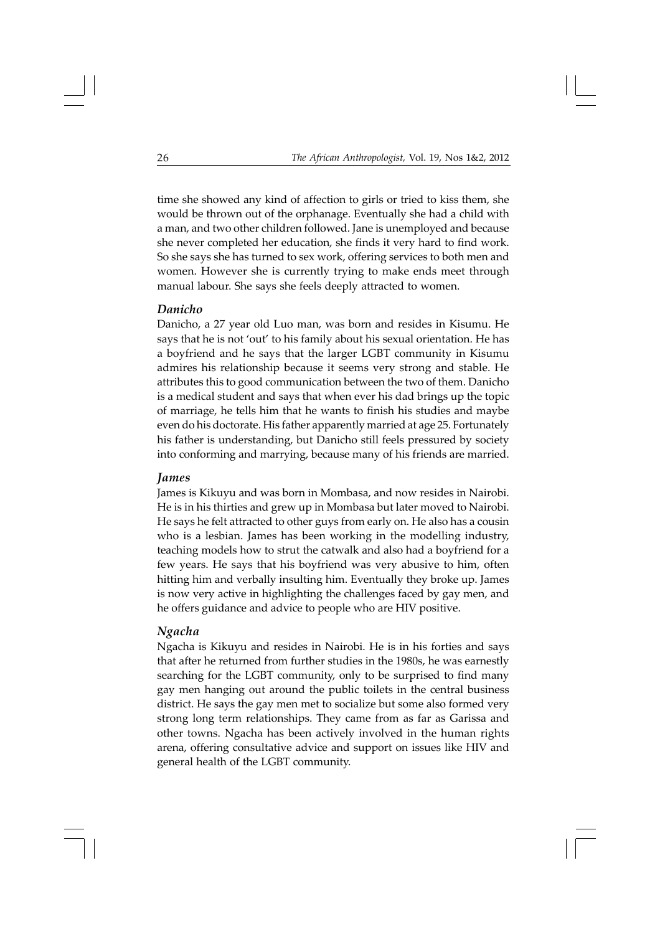time she showed any kind of affection to girls or tried to kiss them, she would be thrown out of the orphanage. Eventually she had a child with a man, and two other children followed. Jane is unemployed and because she never completed her education, she finds it very hard to find work. So she says she has turned to sex work, offering services to both men and women. However she is currently trying to make ends meet through manual labour. She says she feels deeply attracted to women.

#### *Danicho*

Danicho, a 27 year old Luo man, was born and resides in Kisumu. He says that he is not 'out' to his family about his sexual orientation. He has a boyfriend and he says that the larger LGBT community in Kisumu admires his relationship because it seems very strong and stable. He attributes this to good communication between the two of them. Danicho is a medical student and says that when ever his dad brings up the topic of marriage, he tells him that he wants to finish his studies and maybe even do his doctorate. His father apparently married at age 25. Fortunately his father is understanding, but Danicho still feels pressured by society into conforming and marrying, because many of his friends are married.

#### *James*

James is Kikuyu and was born in Mombasa, and now resides in Nairobi. He is in his thirties and grew up in Mombasa but later moved to Nairobi. He says he felt attracted to other guys from early on. He also has a cousin who is a lesbian. James has been working in the modelling industry, teaching models how to strut the catwalk and also had a boyfriend for a few years. He says that his boyfriend was very abusive to him, often hitting him and verbally insulting him. Eventually they broke up. James is now very active in highlighting the challenges faced by gay men, and he offers guidance and advice to people who are HIV positive.

#### *Ngacha*

Ngacha is Kikuyu and resides in Nairobi. He is in his forties and says that after he returned from further studies in the 1980s, he was earnestly searching for the LGBT community, only to be surprised to find many gay men hanging out around the public toilets in the central business district. He says the gay men met to socialize but some also formed very strong long term relationships. They came from as far as Garissa and other towns. Ngacha has been actively involved in the human rights arena, offering consultative advice and support on issues like HIV and general health of the LGBT community.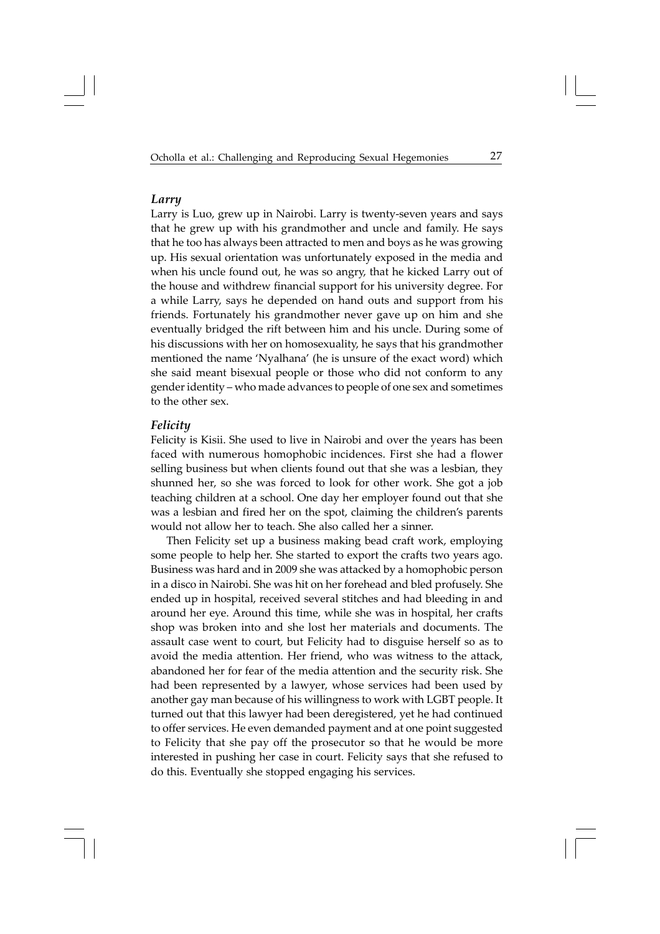#### *Larry*

Larry is Luo, grew up in Nairobi. Larry is twenty-seven years and says that he grew up with his grandmother and uncle and family. He says that he too has always been attracted to men and boys as he was growing up. His sexual orientation was unfortunately exposed in the media and when his uncle found out, he was so angry, that he kicked Larry out of the house and withdrew financial support for his university degree. For a while Larry, says he depended on hand outs and support from his friends. Fortunately his grandmother never gave up on him and she eventually bridged the rift between him and his uncle. During some of his discussions with her on homosexuality, he says that his grandmother mentioned the name 'Nyalhana' (he is unsure of the exact word) which she said meant bisexual people or those who did not conform to any gender identity – who made advances to people of one sex and sometimes to the other sex.

#### *Felicity*

Felicity is Kisii. She used to live in Nairobi and over the years has been faced with numerous homophobic incidences. First she had a flower selling business but when clients found out that she was a lesbian, they shunned her, so she was forced to look for other work. She got a job teaching children at a school. One day her employer found out that she was a lesbian and fired her on the spot, claiming the children's parents would not allow her to teach. She also called her a sinner.

Then Felicity set up a business making bead craft work, employing some people to help her. She started to export the crafts two years ago. Business was hard and in 2009 she was attacked by a homophobic person in a disco in Nairobi. She was hit on her forehead and bled profusely. She ended up in hospital, received several stitches and had bleeding in and around her eye. Around this time, while she was in hospital, her crafts shop was broken into and she lost her materials and documents. The assault case went to court, but Felicity had to disguise herself so as to avoid the media attention. Her friend, who was witness to the attack, abandoned her for fear of the media attention and the security risk. She had been represented by a lawyer, whose services had been used by another gay man because of his willingness to work with LGBT people. It turned out that this lawyer had been deregistered, yet he had continued to offer services. He even demanded payment and at one point suggested to Felicity that she pay off the prosecutor so that he would be more interested in pushing her case in court. Felicity says that she refused to do this. Eventually she stopped engaging his services.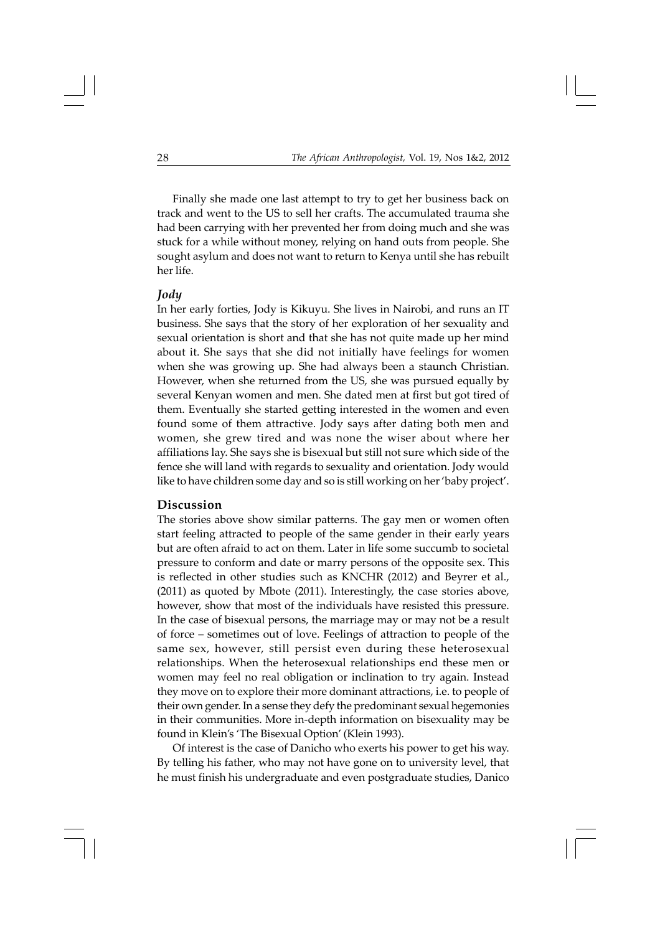Finally she made one last attempt to try to get her business back on track and went to the US to sell her crafts. The accumulated trauma she had been carrying with her prevented her from doing much and she was stuck for a while without money, relying on hand outs from people. She sought asylum and does not want to return to Kenya until she has rebuilt her life.

#### *Jody*

In her early forties, Jody is Kikuyu. She lives in Nairobi, and runs an IT business. She says that the story of her exploration of her sexuality and sexual orientation is short and that she has not quite made up her mind about it. She says that she did not initially have feelings for women when she was growing up. She had always been a staunch Christian. However, when she returned from the US, she was pursued equally by several Kenyan women and men. She dated men at first but got tired of them. Eventually she started getting interested in the women and even found some of them attractive. Jody says after dating both men and women, she grew tired and was none the wiser about where her affiliations lay. She says she is bisexual but still not sure which side of the fence she will land with regards to sexuality and orientation. Jody would like to have children some day and so is still working on her 'baby project'.

#### **Discussion**

The stories above show similar patterns. The gay men or women often start feeling attracted to people of the same gender in their early years but are often afraid to act on them. Later in life some succumb to societal pressure to conform and date or marry persons of the opposite sex. This is reflected in other studies such as KNCHR (2012) and Beyrer et al., (2011) as quoted by Mbote (2011). Interestingly, the case stories above, however, show that most of the individuals have resisted this pressure. In the case of bisexual persons, the marriage may or may not be a result of force – sometimes out of love. Feelings of attraction to people of the same sex, however, still persist even during these heterosexual relationships. When the heterosexual relationships end these men or women may feel no real obligation or inclination to try again. Instead they move on to explore their more dominant attractions, i.e. to people of their own gender. In a sense they defy the predominant sexual hegemonies in their communities. More in-depth information on bisexuality may be found in Klein's 'The Bisexual Option' (Klein 1993).

Of interest is the case of Danicho who exerts his power to get his way. By telling his father, who may not have gone on to university level, that he must finish his undergraduate and even postgraduate studies, Danico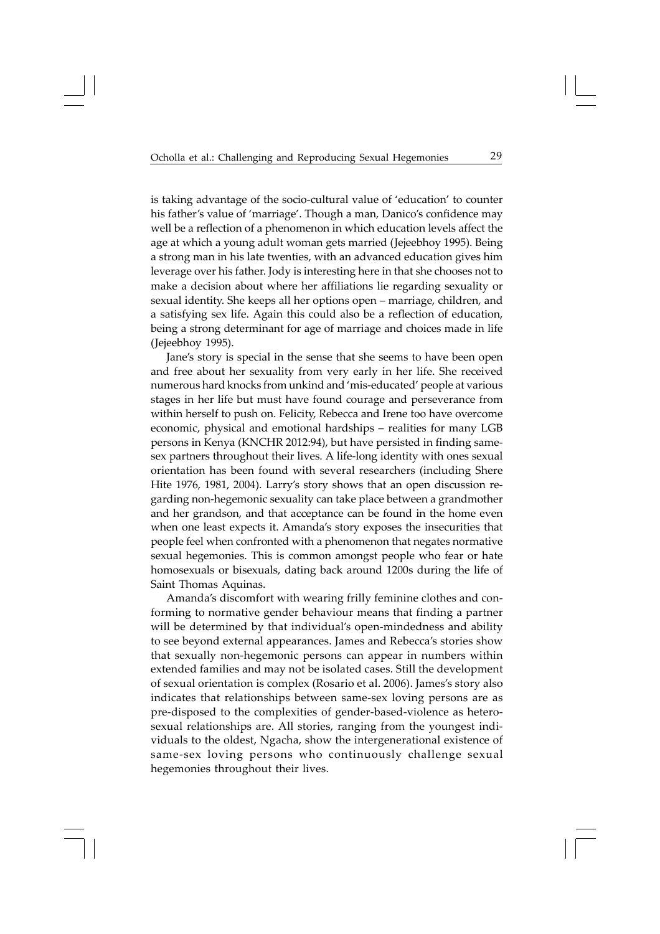is taking advantage of the socio-cultural value of 'education' to counter his father's value of 'marriage'. Though a man, Danico's confidence may well be a reflection of a phenomenon in which education levels affect the age at which a young adult woman gets married (Jejeebhoy 1995). Being a strong man in his late twenties, with an advanced education gives him leverage over his father. Jody is interesting here in that she chooses not to make a decision about where her affiliations lie regarding sexuality or sexual identity. She keeps all her options open – marriage, children, and a satisfying sex life. Again this could also be a reflection of education, being a strong determinant for age of marriage and choices made in life (Jejeebhoy 1995).

Jane's story is special in the sense that she seems to have been open and free about her sexuality from very early in her life. She received numerous hard knocks from unkind and 'mis-educated' people at various stages in her life but must have found courage and perseverance from within herself to push on. Felicity, Rebecca and Irene too have overcome economic, physical and emotional hardships – realities for many LGB persons in Kenya (KNCHR 2012:94), but have persisted in finding samesex partners throughout their lives. A life-long identity with ones sexual orientation has been found with several researchers (including Shere Hite 1976, 1981, 2004). Larry's story shows that an open discussion regarding non-hegemonic sexuality can take place between a grandmother and her grandson, and that acceptance can be found in the home even when one least expects it. Amanda's story exposes the insecurities that people feel when confronted with a phenomenon that negates normative sexual hegemonies. This is common amongst people who fear or hate homosexuals or bisexuals, dating back around 1200s during the life of Saint Thomas Aquinas.

Amanda's discomfort with wearing frilly feminine clothes and conforming to normative gender behaviour means that finding a partner will be determined by that individual's open-mindedness and ability to see beyond external appearances. James and Rebecca's stories show that sexually non-hegemonic persons can appear in numbers within extended families and may not be isolated cases. Still the development of sexual orientation is complex (Rosario et al. 2006). James's story also indicates that relationships between same-sex loving persons are as pre-disposed to the complexities of gender-based-violence as heterosexual relationships are. All stories, ranging from the youngest individuals to the oldest, Ngacha, show the intergenerational existence of same-sex loving persons who continuously challenge sexual hegemonies throughout their lives.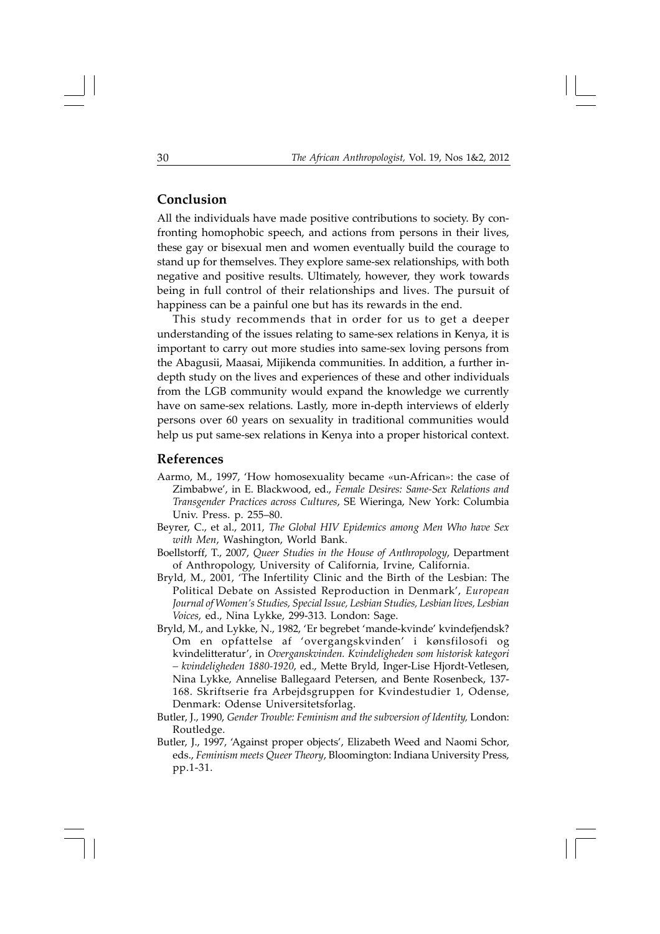# **Conclusion**

All the individuals have made positive contributions to society. By confronting homophobic speech, and actions from persons in their lives, these gay or bisexual men and women eventually build the courage to stand up for themselves. They explore same-sex relationships, with both negative and positive results. Ultimately, however, they work towards being in full control of their relationships and lives. The pursuit of happiness can be a painful one but has its rewards in the end.

This study recommends that in order for us to get a deeper understanding of the issues relating to same-sex relations in Kenya, it is important to carry out more studies into same-sex loving persons from the Abagusii, Maasai, Mijikenda communities. In addition, a further indepth study on the lives and experiences of these and other individuals from the LGB community would expand the knowledge we currently have on same-sex relations. Lastly, more in-depth interviews of elderly persons over 60 years on sexuality in traditional communities would help us put same-sex relations in Kenya into a proper historical context.

## **References**

- Aarmo, M., 1997, 'How homosexuality became «un-African»: the case of Zimbabwe', in E. Blackwood, ed., *Female Desires: Same-Sex Relations and Transgender Practices across Cultures*, SE Wieringa, New York: Columbia Univ. Press. p. 255–80.
- Beyrer, C., et al., 2011, *The Global HIV Epidemics among Men Who have Sex with Men*, Washington, World Bank.
- Boellstorff, T., 2007, *Queer Studies in the House of Anthropology*, Department of Anthropology, University of California, Irvine, California.
- Bryld, M., 2001, 'The Infertility Clinic and the Birth of the Lesbian: The Political Debate on Assisted Reproduction in Denmark', *European Journal of Women's Studies, Special Issue, Lesbian Studies, Lesbian lives, Lesbian Voices*, ed., Nina Lykke, 299-313. London: Sage.
- Bryld, M., and Lykke, N., 1982, 'Er begrebet 'mande-kvinde' kvindefjendsk? Om en opfattelse af 'overgangskvinden' i kønsfilosofi og kvindelitteratur', in *Overganskvinden. Kvindeligheden som historisk kategori – kvindeligheden 1880-1920*, ed., Mette Bryld, Inger-Lise Hjordt-Vetlesen, Nina Lykke, Annelise Ballegaard Petersen, and Bente Rosenbeck, 137- 168. Skriftserie fra Arbejdsgruppen for Kvindestudier 1, Odense, Denmark: Odense Universitetsforlag.
- Butler, J., 1990, *Gender Trouble: Feminism and the subversion of Identity,* London: Routledge.
- Butler, J., 1997, 'Against proper objects', Elizabeth Weed and Naomi Schor, eds., *Feminism meets Queer Theory*, Bloomington: Indiana University Press, pp.1-31.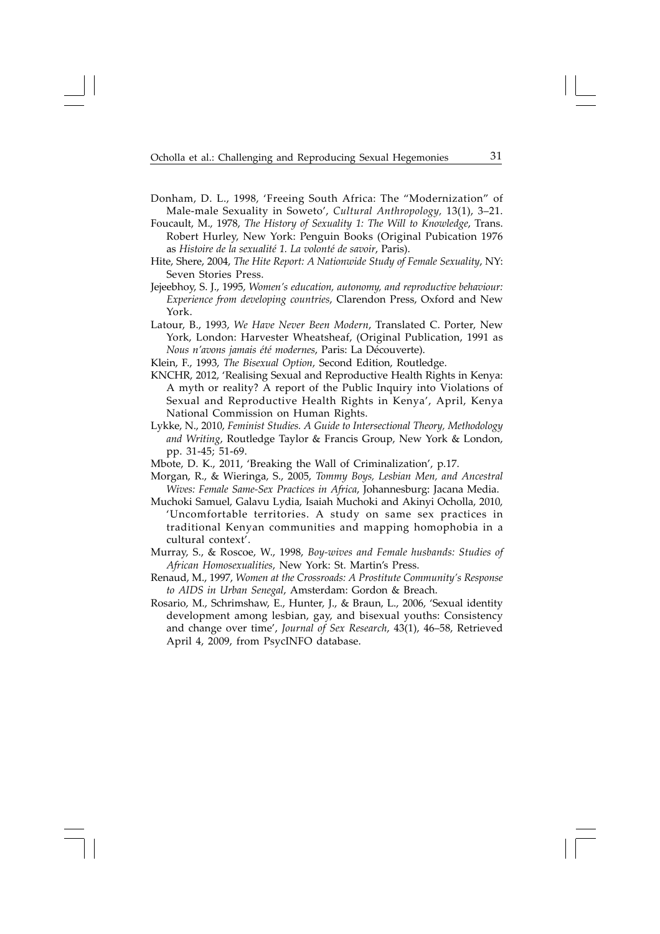- Donham, D. L., 1998, 'Freeing South Africa: The "Modernization" of Male-male Sexuality in Soweto', *Cultural Anthropology,* 13(1), 3–21.
- Foucault, M., 1978, *The History of Sexuality 1: The Will to Knowledge*, Trans. Robert Hurley, New York: Penguin Books (Original Pubication 1976 as *Histoire de la sexualité 1. La volonté de savoir*, Paris).
- Hite, Shere, 2004, *The Hite Report: A Nationwide Study of Female Sexuality*, NY: Seven Stories Press.
- Jejeebhoy, S. J., 1995, *Women's education, autonomy, and reproductive behaviour: Experience from developing countries*, Clarendon Press, Oxford and New York.
- Latour, B., 1993, *We Have Never Been Modern*, Translated C. Porter, New York, London: Harvester Wheatsheaf, (Original Publication, 1991 as *Nous n'avons jamais été modernes*, Paris: La Découverte).
- Klein, F., 1993, *The Bisexual Option*, Second Edition, Routledge.
- KNCHR, 2012, 'Realising Sexual and Reproductive Health Rights in Kenya: A myth or reality? A report of the Public Inquiry into Violations of Sexual and Reproductive Health Rights in Kenya', April, Kenya National Commission on Human Rights.
- Lykke, N., 2010, *Feminist Studies. A Guide to Intersectional Theory, Methodology and Writing*, Routledge Taylor & Francis Group, New York & London, pp. 31-45; 51-69.
- Mbote, D. K., 2011, 'Breaking the Wall of Criminalization', p.17.
- Morgan, R., & Wieringa, S., 2005, *Tommy Boys, Lesbian Men, and Ancestral Wives: Female Same-Sex Practices in Africa*, Johannesburg: Jacana Media.
- Muchoki Samuel, Galavu Lydia, Isaiah Muchoki and Akinyi Ocholla, 2010, 'Uncomfortable territories. A study on same sex practices in traditional Kenyan communities and mapping homophobia in a cultural context'.
- Murray, S., & Roscoe, W., 1998, *Boy-wives and Female husbands: Studies of African Homosexualities*, New York: St. Martin's Press.
- Renaud, M., 1997, *Women at the Crossroads: A Prostitute Community's Response to AIDS in Urban Senegal*, Amsterdam: Gordon & Breach.
- Rosario, M., Schrimshaw, E., Hunter, J., & Braun, L., 2006, 'Sexual identity development among lesbian, gay, and bisexual youths: Consistency and change over time', *Journal of Sex Research*, 43(1), 46–58, Retrieved April 4, 2009, from PsycINFO database.